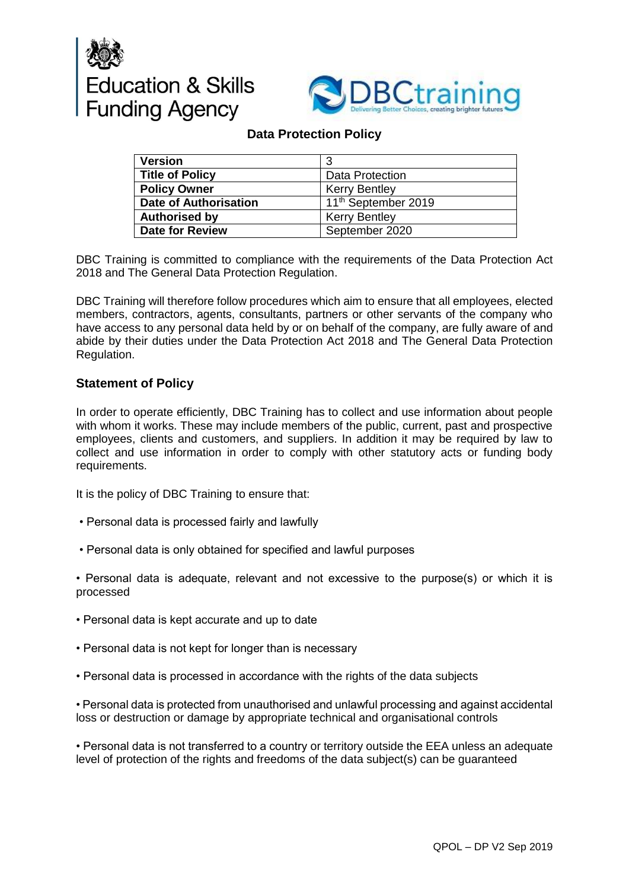



## **Data Protection Policy**

| <b>Version</b>               | 3                               |
|------------------------------|---------------------------------|
| <b>Title of Policy</b>       | <b>Data Protection</b>          |
| <b>Policy Owner</b>          | <b>Kerry Bentley</b>            |
| <b>Date of Authorisation</b> | 11 <sup>th</sup> September 2019 |
| <b>Authorised by</b>         | <b>Kerry Bentley</b>            |
| <b>Date for Review</b>       | September 2020                  |

DBC Training is committed to compliance with the requirements of the Data Protection Act 2018 and The General Data Protection Regulation.

DBC Training will therefore follow procedures which aim to ensure that all employees, elected members, contractors, agents, consultants, partners or other servants of the company who have access to any personal data held by or on behalf of the company, are fully aware of and abide by their duties under the Data Protection Act 2018 and The General Data Protection Regulation.

## **Statement of Policy**

In order to operate efficiently, DBC Training has to collect and use information about people with whom it works. These may include members of the public, current, past and prospective employees, clients and customers, and suppliers. In addition it may be required by law to collect and use information in order to comply with other statutory acts or funding body requirements.

It is the policy of DBC Training to ensure that:

- Personal data is processed fairly and lawfully
- Personal data is only obtained for specified and lawful purposes

• Personal data is adequate, relevant and not excessive to the purpose(s) or which it is processed

- Personal data is kept accurate and up to date
- Personal data is not kept for longer than is necessary
- Personal data is processed in accordance with the rights of the data subjects

• Personal data is protected from unauthorised and unlawful processing and against accidental loss or destruction or damage by appropriate technical and organisational controls

• Personal data is not transferred to a country or territory outside the EEA unless an adequate level of protection of the rights and freedoms of the data subject(s) can be guaranteed